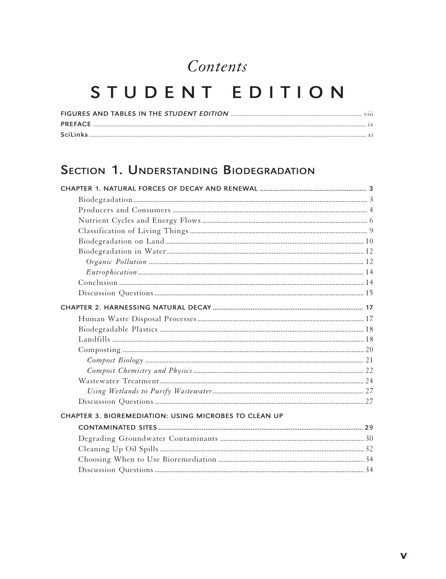## Contents

# STUDENT EDITION

#### **SECTION 1. UNDERSTANDING BIODEGRADATION**

| <b>CHAPTER 3. BIOREMEDIATION: USING MICROBES TO CLEAN UP</b> |  |
|--------------------------------------------------------------|--|
|                                                              |  |
|                                                              |  |
|                                                              |  |
|                                                              |  |
|                                                              |  |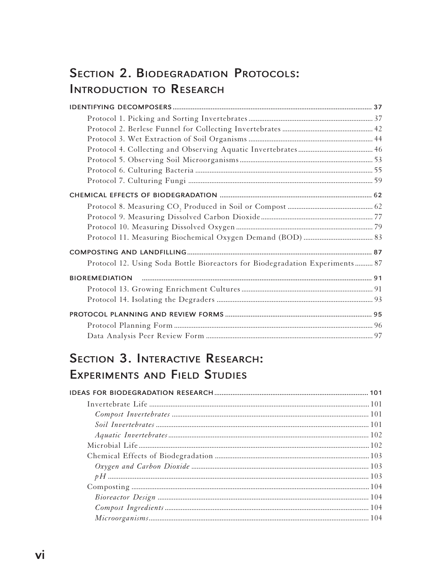#### **SECTION 2. BIODEGRADATION PROTOCOLS: INTRODUCTION TO RESEARCH**

| Protocol 12. Using Soda Bottle Bioreactors for Biodegradation Experiments 87 |  |
|------------------------------------------------------------------------------|--|
| <b>BIOREMEDIATION</b>                                                        |  |
|                                                                              |  |
|                                                                              |  |
|                                                                              |  |
|                                                                              |  |
|                                                                              |  |
|                                                                              |  |

#### **SECTION 3. INTERACTIVE RESEARCH: EXPERIMENTS AND FIELD STUDIES**

| $Microorganisms. \label{thm:1} microorganisms. \label{thm:1} Inive words, the number of samples are not used to be used.$ |  |
|---------------------------------------------------------------------------------------------------------------------------|--|